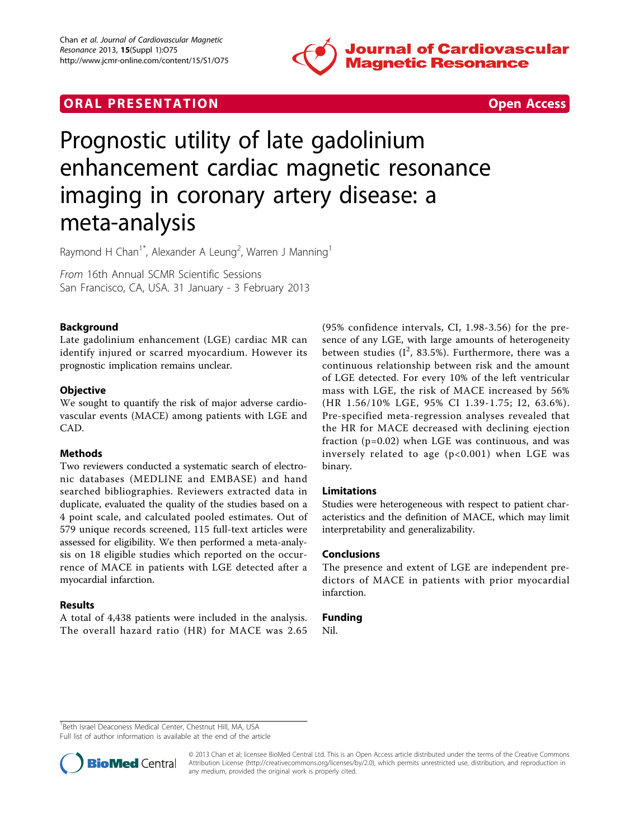

## **ORAL PRESENTATION CONSUMING ACCESS**



# Prognostic utility of late gadolinium enhancement cardiac magnetic resonance imaging in coronary artery disease: a meta-analysis

Raymond H Chan<sup>1\*</sup>, Alexander A Leung<sup>2</sup>, Warren J Manning<sup>1</sup>

From 16th Annual SCMR Scientific Sessions San Francisco, CA, USA. 31 January - 3 February 2013

#### Background

Late gadolinium enhancement (LGE) cardiac MR can identify injured or scarred myocardium. However its prognostic implication remains unclear.

#### **Objective**

We sought to quantify the risk of major adverse cardiovascular events (MACE) among patients with LGE and CAD.

#### Methods

Two reviewers conducted a systematic search of electronic databases (MEDLINE and EMBASE) and hand searched bibliographies. Reviewers extracted data in duplicate, evaluated the quality of the studies based on a 4 point scale, and calculated pooled estimates. Out of 579 unique records screened, 115 full-text articles were assessed for eligibility. We then performed a meta-analysis on 18 eligible studies which reported on the occurrence of MACE in patients with LGE detected after a myocardial infarction.

#### Results

A total of 4,438 patients were included in the analysis. The overall hazard ratio (HR) for MACE was 2.65

(95% confidence intervals, CI, 1.98-3.56) for the presence of any LGE, with large amounts of heterogeneity between studies  $(I^2, 83.5\%)$ . Furthermore, there was a continuous relationship between risk and the amount of LGE detected. For every 10% of the left ventricular mass with LGE, the risk of MACE increased by 56% (HR 1.56/10% LGE, 95% CI 1.39-1.75; I2, 63.6%). Pre-specified meta-regression analyses revealed that the HR for MACE decreased with declining ejection fraction (p=0.02) when LGE was continuous, and was inversely related to age (p<0.001) when LGE was binary.

### Limitations

Studies were heterogeneous with respect to patient characteristics and the definition of MACE, which may limit interpretability and generalizability.

#### Conclusions

The presence and extent of LGE are independent predictors of MACE in patients with prior myocardial infarction.

#### Funding

Nil.

<sup>1</sup> Beth Israel Deaconess Medical Center, Chestnut Hill, MA, USA

Full list of author information is available at the end of the article



© 2013 Chan et al; licensee BioMed Central Ltd. This is an Open Access article distributed under the terms of the Creative Commons Attribution License [\(http://creativecommons.org/licenses/by/2.0](http://creativecommons.org/licenses/by/2.0)), which permits unrestricted use, distribution, and reproduction in any medium, provided the original work is properly cited.